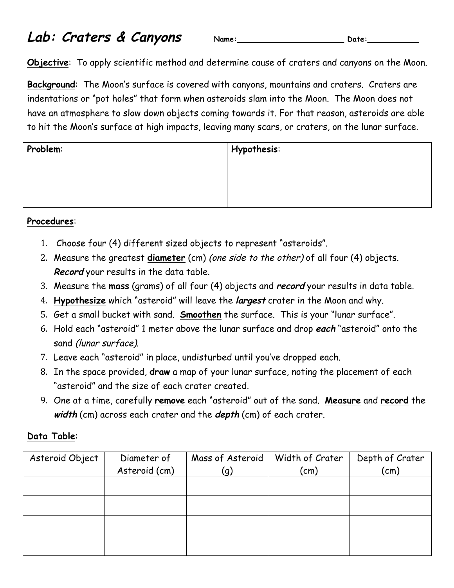## **Lab: Craters & Canyons Name:\_\_\_\_\_\_\_\_\_\_\_\_\_\_\_\_\_\_\_\_\_\_\_ Date:\_\_\_\_\_\_\_\_\_\_\_**

|  | am | ٠ |
|--|----|---|
|--|----|---|

**Objective**: To apply scientific method and determine cause of craters and canyons on the Moon.

**Background**: The Moon's surface is covered with canyons, mountains and craters. Craters are indentations or "pot holes" that form when asteroids slam into the Moon. The Moon does not have an atmosphere to slow down objects coming towards it. For that reason, asteroids are able to hit the Moon's surface at high impacts, leaving many scars, or craters, on the lunar surface.

| Problem: | Hypothesis: |  |  |
|----------|-------------|--|--|
|          |             |  |  |
|          |             |  |  |
|          |             |  |  |

## **Procedures**:

- 1. Choose four (4) different sized objects to represent "asteroids".
- 2. Measure the greatest **diameter** (cm) (one side to the other) of all four (4) objects. **Record** your results in the data table.
- 3. Measure the **mass** (grams) of all four (4) objects and **record** your results in data table.
- 4. **Hypothesize** which "asteroid" will leave the **largest** crater in the Moon and why.
- 5. Get a small bucket with sand. **Smoothen** the surface. This is your "lunar surface".
- 6. Hold each "asteroid" 1 meter above the lunar surface and drop **each** "asteroid" onto the sand (lunar surface).
- 7. Leave each "asteroid" in place, undisturbed until you've dropped each.
- 8. In the space provided, **draw** a map of your lunar surface, noting the placement of each "asteroid" and the size of each crater created.
- 9. One at a time, carefully **remove** each "asteroid" out of the sand. **Measure** and **record** the **width** (cm) across each crater and the **depth** (cm) of each crater.

## **Data Table**:

| Asteroid Object | Diameter of<br>Asteroid (cm) | Mass of Asteroid<br>(g) | Width of Crater<br>(cm) | Depth of Crater<br>(cm) |
|-----------------|------------------------------|-------------------------|-------------------------|-------------------------|
|                 |                              |                         |                         |                         |
|                 |                              |                         |                         |                         |
|                 |                              |                         |                         |                         |
|                 |                              |                         |                         |                         |